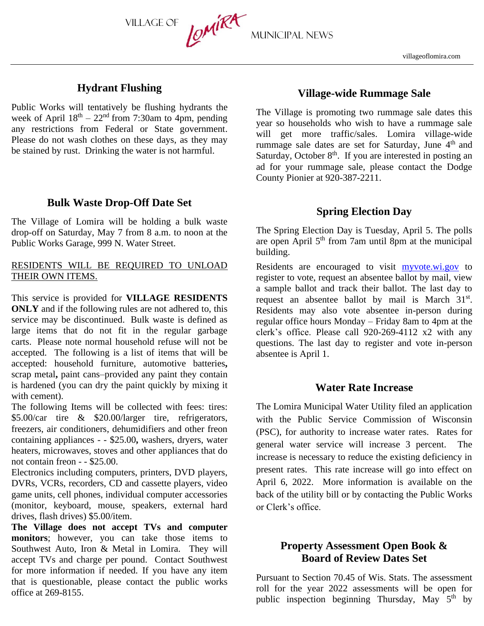CMIKA MUNICIPAL NEWS

# **Hydrant Flushing**

Village of

Public Works will tentatively be flushing hydrants the week of April  $18<sup>th</sup> - 22<sup>nd</sup>$  from 7:30am to 4pm, pending any restrictions from Federal or State government. Please do not wash clothes on these days, as they may be stained by rust. Drinking the water is not harmful.

#### **Bulk Waste Drop-Off Date Set**

The Village of Lomira will be holding a bulk waste drop-off on Saturday, May 7 from 8 a.m. to noon at the Public Works Garage, 999 N. Water Street.

#### RESIDENTS WILL BE REQUIRED TO UNLOAD THEIR OWN ITEMS.

This service is provided for **VILLAGE RESIDENTS ONLY** and if the following rules are not adhered to, this service may be discontinued. Bulk waste is defined as large items that do not fit in the regular garbage carts. Please note normal household refuse will not be accepted.The following is a list of items that will be accepted: household furniture, automotive batteries**,**  scrap metal**,** paint cans–provided any paint they contain is hardened (you can dry the paint quickly by mixing it with cement).

The following Items will be collected with fees: tires: \$5.00/car tire & \$20.00/larger tire, refrigerators, freezers, air conditioners, dehumidifiers and other freon containing appliances - - \$25.00**,** washers, dryers, water heaters, microwaves, stoves and other appliances that do not contain freon - - \$25.00.

Electronics including computers, printers, DVD players, DVRs, VCRs, recorders, CD and cassette players, video game units, cell phones, individual computer accessories (monitor, keyboard, mouse, speakers, external hard drives, flash drives) \$5.00/item.

**The Village does not accept TVs and computer monitors**; however, you can take those items to Southwest Auto, Iron & Metal in Lomira. They will accept TVs and charge per pound. Contact Southwest for more information if needed. If you have any item that is questionable, please contact the public works office at 269-8155.

## **Village-wide Rummage Sale**

The Village is promoting two rummage sale dates this year so households who wish to have a rummage sale will get more traffic/sales. Lomira village-wide rummage sale dates are set for Saturday, June 4<sup>th</sup> and Saturday, October 8<sup>th</sup>. If you are interested in posting an ad for your rummage sale, please contact the Dodge County Pionier at 920-387-2211.

## **Spring Election Day**

The Spring Election Day is Tuesday, April 5. The polls are open April 5<sup>th</sup> from 7am until 8pm at the municipal building.

Residents are encouraged to visit [myvote.wi.gov](http://www.myvote.wi.gov/) to register to vote, request an absentee ballot by mail, view a sample ballot and track their ballot. The last day to request an absentee ballot by mail is March  $31<sup>st</sup>$ . Residents may also vote absentee in-person during regular office hours Monday – Friday 8am to 4pm at the clerk's office. Please call 920-269-4112 x2 with any questions. The last day to register and vote in-person absentee is April 1.

### **Water Rate Increase**

The Lomira Municipal Water Utility filed an application with the Public Service Commission of Wisconsin (PSC), for authority to increase water rates. Rates for general water service will increase 3 percent. The increase is necessary to reduce the existing deficiency in present rates. This rate increase will go into effect on April 6, 2022. More information is available on the back of the utility bill or by contacting the Public Works or Clerk's office.

# **Property Assessment Open Book & Board of Review Dates Set**

Pursuant to Section 70.45 of Wis. Stats. The assessment roll for the year 2022 assessments will be open for public inspection beginning Thursday, May  $5<sup>th</sup>$  by